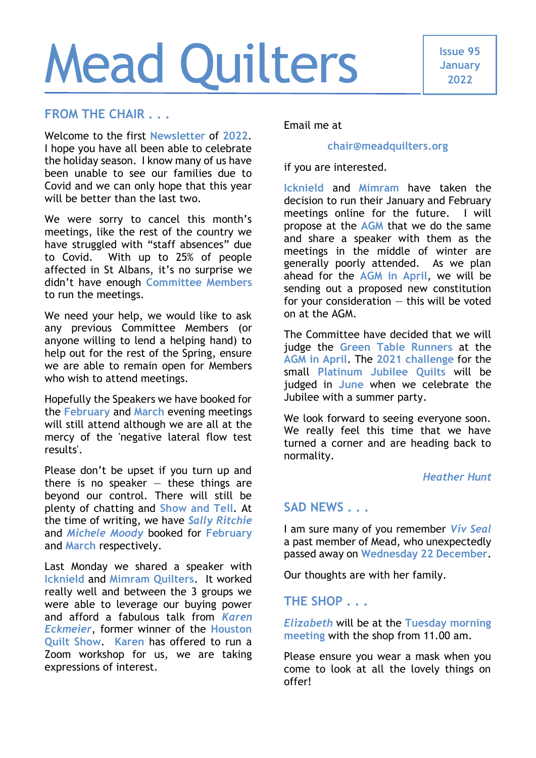# Mead Quilters

# **FROM THE CHAIR . . .**

Welcome to the first **Newsletter** of **2022**. I hope you have all been able to celebrate the holiday season. I know many of us have been unable to see our families due to Covid and we can only hope that this year will be better than the last two.

We were sorry to cancel this month's meetings, like the rest of the country we have struggled with "staff absences" due to Covid. With up to 25% of people affected in St Albans, it's no surprise we didn't have enough **Committee Members** to run the meetings.

We need your help, we would like to ask any previous Committee Members (or anyone willing to lend a helping hand) to help out for the rest of the Spring, ensure we are able to remain open for Members who wish to attend meetings.

Hopefully the Speakers we have booked for the **February** and **March** evening meetings will still attend although we are all at the mercy of the 'negative lateral flow test results'.

Please don't be upset if you turn up and there is no speaker  $-$  these things are beyond our control. There will still be plenty of chatting and **Show and Tell**. At the time of writing, we have *Sally Ritchie* and *Michele Moody* booked for **February** and **March** respectively.

Last Monday we shared a speaker with **Icknield** and **Mimram Quilters**. It worked really well and between the 3 groups we were able to leverage our buying power and afford a fabulous talk from *Karen Eckmeier*, former winner of the **Houston Quilt Show**. **Karen** has offered to run a Zoom workshop for us, we are taking expressions of interest.

Email me at

### **[chair@meadquilters.org](mailto:chair@meadquilters.org)**

if you are interested.

**Icknield** and **Mimram** have taken the decision to run their January and February meetings online for the future. I will propose at the **AGM** that we do the same and share a speaker with them as the meetings in the middle of winter are generally poorly attended. As we plan ahead for the **AGM in April**, we will be sending out a proposed new constitution for your consideration  $-$  this will be voted on at the AGM.

The Committee have decided that we will judge the **Green Table Runners** at the **AGM in April**. The **2021 challenge** for the small **Platinum Jubilee Quilts** will be judged in **June** when we celebrate the Jubilee with a summer party.

We look forward to seeing everyone soon. We really feel this time that we have turned a corner and are heading back to normality.

### *Heather Hunt*

# **SAD NEWS . . .**

I am sure many of you remember *Viv Seal* a past member of Mead, who unexpectedly passed away on **Wednesday 22 December**.

Our thoughts are with her family.

# **THE SHOP . . .**

*Elizabeth* will be at the **Tuesday morning meeting** with the shop from 11.00 am.

Please ensure you wear a mask when you come to look at all the lovely things on offer!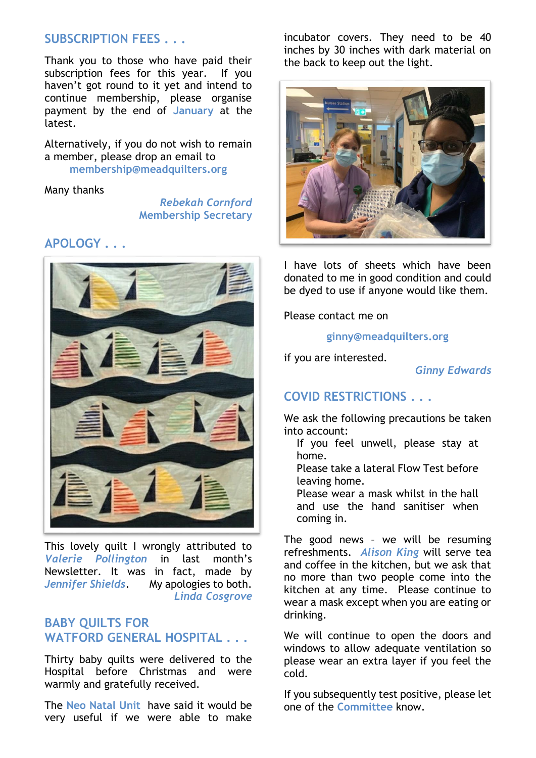# **SUBSCRIPTION FEES . . .**

Thank you to those who have paid their subscription fees for this year. If you haven't got round to it yet and intend to continue membership, please organise payment by the end of **January** at the latest.

Alternatively, if you do not wish to remain a member, please drop an email to **[membership@meadquilters.org](mailto:membership@meadquilters.org)**

### Many thanks

*Rebekah Cornford* **Membership Secretary**

## **APOLOGY . . .**



This lovely quilt I wrongly attributed to *Valerie Pollington* in last month's Newsletter. It was in fact, made by *Jennifer Shields*. My apologies to both. *Linda Cosgrove*

# **BABY QUILTS FOR WATFORD GENERAL HOSPITAL . . .**

Thirty baby quilts were delivered to the Hospital before Christmas and were warmly and gratefully received.

The **Neo Natal Unit** have said it would be very useful if we were able to make

incubator covers. They need to be 40 inches by 30 inches with dark material on the back to keep out the light.



I have lots of sheets which have been donated to me in good condition and could be dyed to use if anyone would like them.

Please contact me on

**[ginny@meadquilters.org](mailto:ginny@meadquilters.org)**

if you are interested.

*Ginny Edwards*

# **COVID RESTRICTIONS . . .**

We ask the following precautions be taken into account:

If you feel unwell, please stay at home.

Please take a lateral Flow Test before leaving home.

Please wear a mask whilst in the hall and use the hand sanitiser when coming in.

The good news – we will be resuming refreshments. *Alison King* will serve tea and coffee in the kitchen, but we ask that no more than two people come into the kitchen at any time. Please continue to wear a mask except when you are eating or drinking.

We will continue to open the doors and windows to allow adequate ventilation so please wear an extra layer if you feel the cold.

If you subsequently test positive, please let one of the **Committee** know.